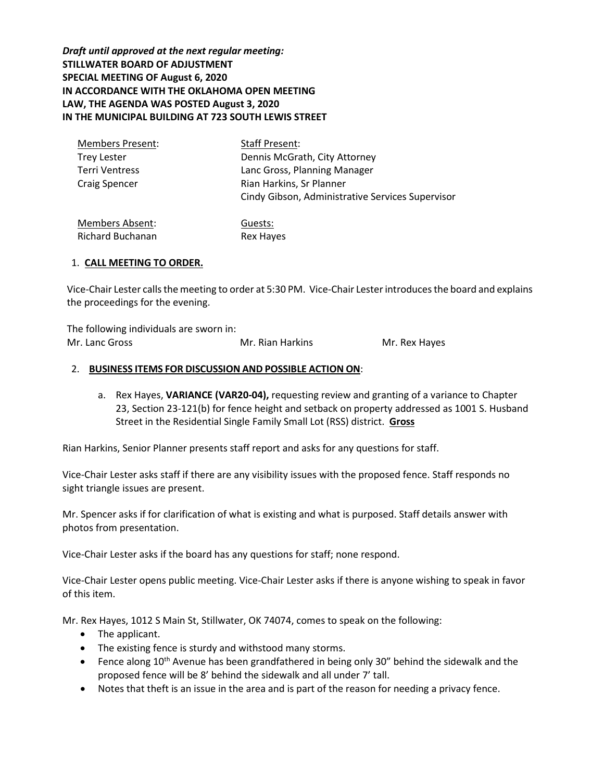*Draft until approved at the next regular meeting:* **STILLWATER BOARD OF ADJUSTMENT SPECIAL MEETING OF August 6, 2020 IN ACCORDANCE WITH THE OKLAHOMA OPEN MEETING LAW, THE AGENDA WAS POSTED August 3, 2020 IN THE MUNICIPAL BUILDING AT 723 SOUTH LEWIS STREET**

| <b>Members Present:</b> | Staff Present:                                   |
|-------------------------|--------------------------------------------------|
| Trey Lester             | Dennis McGrath, City Attorney                    |
| Terri Ventress          | Lanc Gross, Planning Manager                     |
| <b>Craig Spencer</b>    | Rian Harkins, Sr Planner                         |
|                         | Cindy Gibson, Administrative Services Supervisor |
|                         |                                                  |

Members Absent: Richard Buchanan Guests: Rex Hayes

## 1. **CALL MEETING TO ORDER.**

Vice-Chair Lester calls the meeting to order at 5:30 PM. Vice-Chair Lesterintroduces the board and explains the proceedings for the evening.

The following individuals are sworn in: Mr. Lanc Gross Mr. Rian Harkins Mr. Rex Hayes

### 2. **BUSINESS ITEMS FOR DISCUSSION AND POSSIBLE ACTION ON**:

a. Rex Hayes, **VARIANCE (VAR20-04),** requesting review and granting of a variance to Chapter 23, Section 23-121(b) for fence height and setback on property addressed as 1001 S. Husband Street in the Residential Single Family Small Lot (RSS) district. **Gross**

Rian Harkins, Senior Planner presents staff report and asks for any questions for staff.

Vice-Chair Lester asks staff if there are any visibility issues with the proposed fence. Staff responds no sight triangle issues are present.

Mr. Spencer asks if for clarification of what is existing and what is purposed. Staff details answer with photos from presentation.

Vice-Chair Lester asks if the board has any questions for staff; none respond.

Vice-Chair Lester opens public meeting. Vice-Chair Lester asks if there is anyone wishing to speak in favor of this item.

Mr. Rex Hayes, 1012 S Main St, Stillwater, OK 74074, comes to speak on the following:

- The applicant.
- The existing fence is sturdy and withstood many storms.
- Fence along 10<sup>th</sup> Avenue has been grandfathered in being only 30" behind the sidewalk and the proposed fence will be 8' behind the sidewalk and all under 7' tall.
- Notes that theft is an issue in the area and is part of the reason for needing a privacy fence.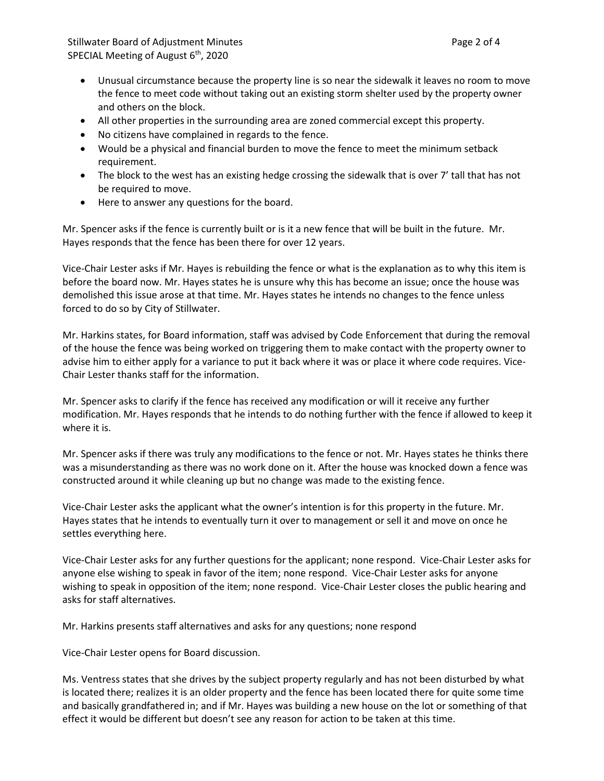- Unusual circumstance because the property line is so near the sidewalk it leaves no room to move the fence to meet code without taking out an existing storm shelter used by the property owner and others on the block.
- All other properties in the surrounding area are zoned commercial except this property.
- No citizens have complained in regards to the fence.
- Would be a physical and financial burden to move the fence to meet the minimum setback requirement.
- The block to the west has an existing hedge crossing the sidewalk that is over 7' tall that has not be required to move.
- Here to answer any questions for the board.

Mr. Spencer asks if the fence is currently built or is it a new fence that will be built in the future. Mr. Hayes responds that the fence has been there for over 12 years.

Vice-Chair Lester asks if Mr. Hayes is rebuilding the fence or what is the explanation as to why this item is before the board now. Mr. Hayes states he is unsure why this has become an issue; once the house was demolished this issue arose at that time. Mr. Hayes states he intends no changes to the fence unless forced to do so by City of Stillwater.

Mr. Harkins states, for Board information, staff was advised by Code Enforcement that during the removal of the house the fence was being worked on triggering them to make contact with the property owner to advise him to either apply for a variance to put it back where it was or place it where code requires. Vice-Chair Lester thanks staff for the information.

Mr. Spencer asks to clarify if the fence has received any modification or will it receive any further modification. Mr. Hayes responds that he intends to do nothing further with the fence if allowed to keep it where it is.

Mr. Spencer asks if there was truly any modifications to the fence or not. Mr. Hayes states he thinks there was a misunderstanding as there was no work done on it. After the house was knocked down a fence was constructed around it while cleaning up but no change was made to the existing fence.

Vice-Chair Lester asks the applicant what the owner's intention is for this property in the future. Mr. Hayes states that he intends to eventually turn it over to management or sell it and move on once he settles everything here.

Vice-Chair Lester asks for any further questions for the applicant; none respond. Vice-Chair Lester asks for anyone else wishing to speak in favor of the item; none respond. Vice-Chair Lester asks for anyone wishing to speak in opposition of the item; none respond. Vice-Chair Lester closes the public hearing and asks for staff alternatives.

Mr. Harkins presents staff alternatives and asks for any questions; none respond

Vice-Chair Lester opens for Board discussion.

Ms. Ventress states that she drives by the subject property regularly and has not been disturbed by what is located there; realizes it is an older property and the fence has been located there for quite some time and basically grandfathered in; and if Mr. Hayes was building a new house on the lot or something of that effect it would be different but doesn't see any reason for action to be taken at this time.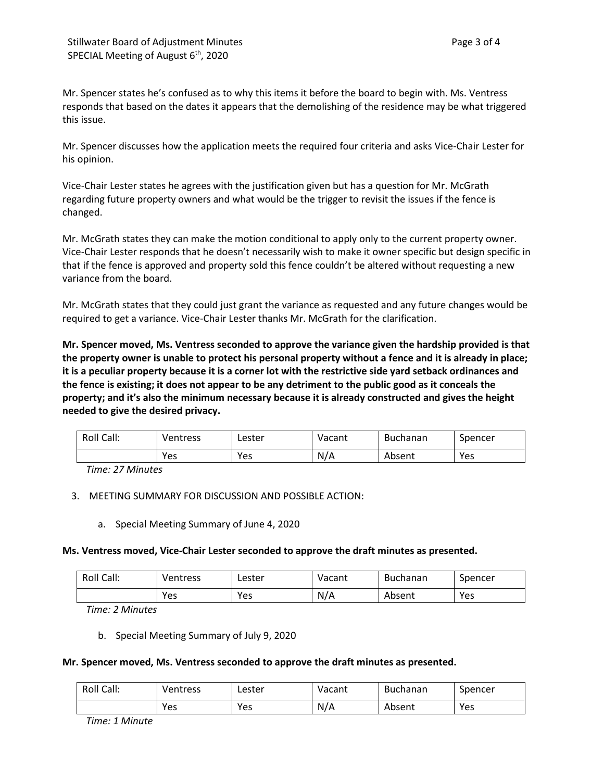Mr. Spencer states he's confused as to why this items it before the board to begin with. Ms. Ventress responds that based on the dates it appears that the demolishing of the residence may be what triggered this issue.

Mr. Spencer discusses how the application meets the required four criteria and asks Vice-Chair Lester for his opinion.

Vice-Chair Lester states he agrees with the justification given but has a question for Mr. McGrath regarding future property owners and what would be the trigger to revisit the issues if the fence is changed.

Mr. McGrath states they can make the motion conditional to apply only to the current property owner. Vice-Chair Lester responds that he doesn't necessarily wish to make it owner specific but design specific in that if the fence is approved and property sold this fence couldn't be altered without requesting a new variance from the board.

Mr. McGrath states that they could just grant the variance as requested and any future changes would be required to get a variance. Vice-Chair Lester thanks Mr. McGrath for the clarification.

**Mr. Spencer moved, Ms. Ventress seconded to approve the variance given the hardship provided is that the property owner is unable to protect his personal property without a fence and it is already in place; it is a peculiar property because it is a corner lot with the restrictive side yard setback ordinances and the fence is existing; it does not appear to be any detriment to the public good as it conceals the property; and it's also the minimum necessary because it is already constructed and gives the height needed to give the desired privacy.** 

| Roll Call: | Ventress | Lester | Vacant | <b>Buchanan</b> | Spencer |
|------------|----------|--------|--------|-----------------|---------|
|            | Yes      | Yes    | N/A    | Absent          | Yes     |

*Time: 27 Minutes*

# 3. MEETING SUMMARY FOR DISCUSSION AND POSSIBLE ACTION:

a. Special Meeting Summary of June 4, 2020

# **Ms. Ventress moved, Vice-Chair Lester seconded to approve the draft minutes as presented.**

| Roll Call: | <b>Ventress</b> | Lester | Vacant | <b>Buchanan</b> | Spencer |
|------------|-----------------|--------|--------|-----------------|---------|
|            | Yes             | Yes    | N/A    | Absent          | Yes     |

*Time: 2 Minutes*

b. Special Meeting Summary of July 9, 2020

### **Mr. Spencer moved, Ms. Ventress seconded to approve the draft minutes as presented.**

| Roll Call: | Ventress | ∟ester | Vacant | <b>Buchanan</b> | Spencer |
|------------|----------|--------|--------|-----------------|---------|
|            | Yes      | Yes    | N/A    | Absent          | Yes     |

*Time: 1 Minute*